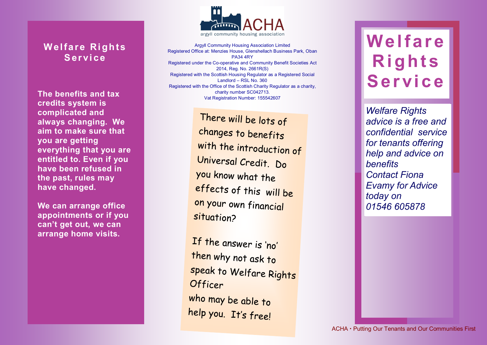## **Welfare Rights S er vi ce**

**The benefits and tax credits system is complicated and always changing. We aim to make sure that you are getting everything that you are entitled to. Even if you have been refused in the past, rules may have changed.**

**We can arrange office appointments or if you can't get out, we can arrange home visits.**



Argyll Community Housing Association Limited Registered Office at: Menzies House, Glenshellach Business Park, Oban PA34 4RY Registered under the Co-operative and Community Benefit Societies Act 2014, Reg. No. 2661R(S) Registered with the Scottish Housing Regulator as a Registered Social Landlord – RSL No. 360 Registered with the Office of the Scottish Charity Regulator as a charity, charity number SC042713. Vat Registration Number: 155542607

> There will be lots of changes to benefits with the introduction of Universal Credit. Do you know what the effects of this will be on your own financial situation?

If the answer is 'no' then why not ask to speak to Welfare Rights Officer who may be able to help you. It's free!

## **We lf ar e R i g h t s S e r vi c e**

*Welfare Rights Welfare Rights advice is a free and advice is a free and confidential service confidential service for tenants offering for tenants offering help and advice on help and advice on benefits benefits Contact ACHA for Contact Fiona Evamy for Advice 0800 028 2755 today on 01546 605878* 

 $ACHA \cdot$  Putting Our Tenants and Our Communities First